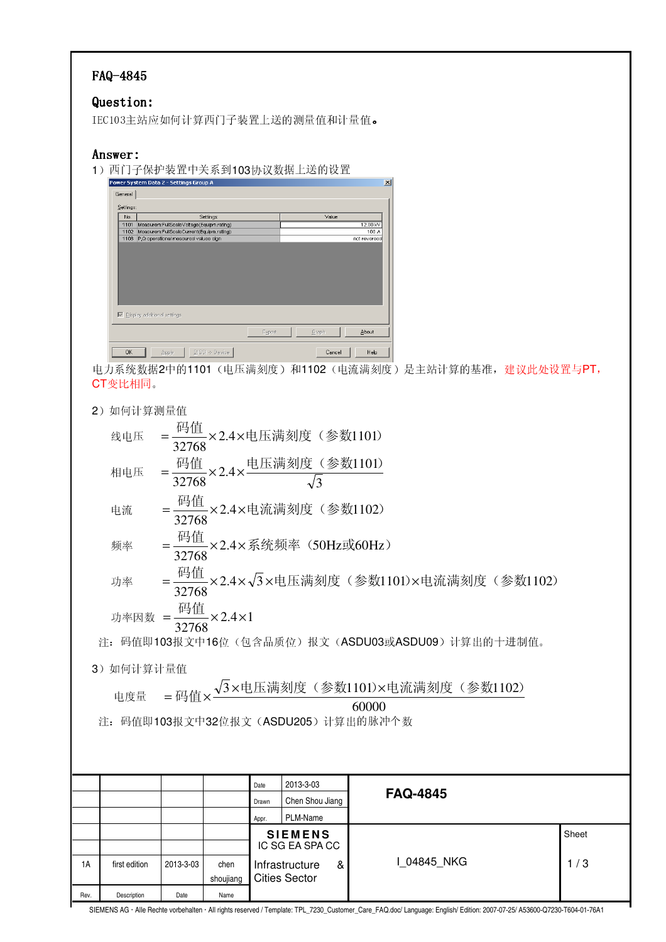### FAQ-4845

#### Question: Question:

IEC103主站应如何计算西门子装置上送的测量值和计量值。

### Answer:

1)西门子保护装置中关系到103协议数据上送的设置

| General   |                                          |        |              |        |       |
|-----------|------------------------------------------|--------|--------------|--------|-------|
| Settings: |                                          |        |              |        |       |
| No.       | Settings                                 |        |              | Value  |       |
| 1101      | Measurem:FullScaleVoltage(Equipm.rating) |        | 12.00 kV     |        |       |
| 1102      | Measurem:FullScaleCurrent(Equipm.rating) |        | 100 A        |        |       |
| 1108      | P.Q operational measured values sign     |        | not reversed |        |       |
|           |                                          |        |              |        |       |
|           |                                          |        |              |        |       |
|           |                                          |        |              |        |       |
|           |                                          |        |              |        |       |
|           |                                          |        |              |        |       |
|           |                                          |        |              |        |       |
|           |                                          |        |              |        |       |
|           |                                          |        |              |        |       |
|           |                                          |        |              |        |       |
|           | □ Display additional settings            |        |              |        |       |
|           |                                          |        |              |        |       |
|           |                                          | Export |              | Graph  | About |
| <b>OK</b> | $D[GS]$ > Device<br>Apply                |        |              | Cancel | Help  |

 %&' " # 21101 ( %)\*+, ) 和1102(电流满刻度)是主站计算的 ./012 !34\$5PT1 CT变比相同。

| 2) 如何计算测量值 |                                                                                          |           |      |       |                 |   |                 |     |  |  |  |
|------------|------------------------------------------------------------------------------------------|-----------|------|-------|-----------------|---|-----------------|-----|--|--|--|
|            | = <sup> 码值</sup> ×2.4×电压满刻度(参数1101)<br>线电压                                               |           |      |       |                 |   |                 |     |  |  |  |
|            | = 码值 ×2.4× 电压满刻度 (参数1101)<br>32768<br>相电压                                                |           |      |       |                 |   |                 |     |  |  |  |
|            | = <sup>码值</sup> ×2.4×电流满刻度(参数1102)<br>电流                                                 |           |      |       |                 |   |                 |     |  |  |  |
|            | = <sup>码值</sup> ×2.4×系统频率(50Hz或60Hz)<br>频率                                               |           |      |       |                 |   |                 |     |  |  |  |
|            | 功率 = $\frac{\overline{13068}}{32768}$ × 2.4 × $\sqrt{3}$ ×电压满刻度 (参数1101) ×电流满刻度 (参数1102) |           |      |       |                 |   |                 |     |  |  |  |
|            | 功率因数 = $\frac{104}{32768}$ ×2.4×1                                                        |           |      |       |                 |   |                 |     |  |  |  |
|            | 注: 码值即103报文中16位(包含品质位)报文(ASDU03或ASDU09)计算出的十进制值。                                         |           |      |       |                 |   |                 |     |  |  |  |
|            | 3) 如何计算计量值                                                                               |           |      |       |                 |   |                 |     |  |  |  |
|            | = 码值× $\frac{\sqrt{3} \times$ 电压满刻度(参数1101)×电流满刻度(参数1102)<br>电度量                         |           |      |       |                 |   |                 |     |  |  |  |
|            | 60000                                                                                    |           |      |       |                 |   |                 |     |  |  |  |
|            | 注: 码值即103报文中32位报文(ASDU205)计算出的脉冲个数                                                       |           |      |       |                 |   |                 |     |  |  |  |
|            |                                                                                          |           |      |       |                 |   |                 |     |  |  |  |
|            |                                                                                          |           |      |       |                 |   |                 |     |  |  |  |
|            |                                                                                          |           |      | Date  | 2013-3-03       |   | <b>FAQ-4845</b> |     |  |  |  |
|            |                                                                                          |           |      | Drawn | Chen Shou Jiang |   |                 |     |  |  |  |
|            |                                                                                          |           |      | Appr. | PLM-Name        |   |                 |     |  |  |  |
|            | Sheet<br><b>SIEMENS</b><br>IC SG EA SPA CC                                               |           |      |       |                 |   |                 |     |  |  |  |
| 1A         | first edition                                                                            | 2013-3-03 | chen |       | Infrastructure  | & | I 04845 NKG     | 1/3 |  |  |  |

shoujiang

Cities Sector

Rev. Description Date Name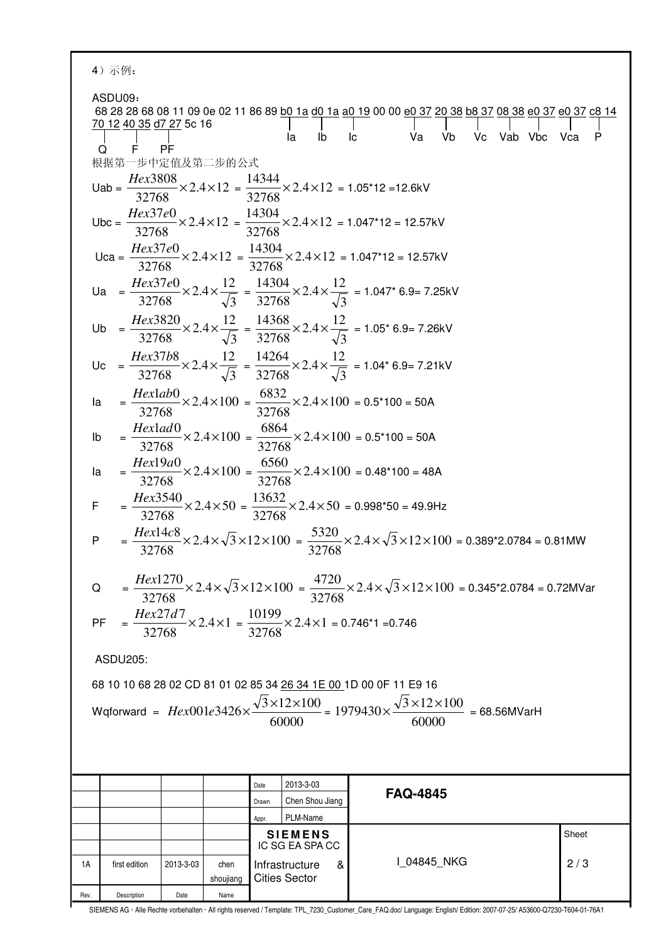|      | 4) 示例:                                                                                                                                                                                                                                    |           |                   |       |                                             |                                                                                                                                                                                                                                   |                                                                                                                              |       |  |  |
|------|-------------------------------------------------------------------------------------------------------------------------------------------------------------------------------------------------------------------------------------------|-----------|-------------------|-------|---------------------------------------------|-----------------------------------------------------------------------------------------------------------------------------------------------------------------------------------------------------------------------------------|------------------------------------------------------------------------------------------------------------------------------|-------|--|--|
|      | ASDU09:<br><u>70 12 40 35 d7 27</u> 5c 16<br>F PF<br>O<br>根据第一步中定值及第二步的公式                                                                                                                                                                 |           |                   |       | la<br>Ib                                    | Va<br>lc.<br>Uab = $\frac{Hex3808}{32768} \times 2.4 \times 12 = \frac{14344}{32768} \times 2.4 \times 12 = 1.05*12 = 12.6kV$<br>Ubc = $\frac{Hex37e0}{32768}$ × 2.4 × 12 = $\frac{14304}{32768}$ × 2.4 × 12 = 1.047*12 = 12.57kV | 68 28 28 68 08 11 09 0e 02 11 86 89 b0 1a d0 1a a0 19 00 00 e0 37 20 38 b8 37 08 38 e0 37 e0 37 c8 14<br>Vb Vc Vab Vbc Vca P |       |  |  |
|      | Uca = $\frac{Hex37e0}{32768}$ × 2.4 × 12 = $\frac{14304}{32768}$ × 2.4 × 12 = 1.047*12 = 12.57kV<br>Ua = $\frac{Hex37e0}{32768}$ × 2.4 × $\frac{12}{\sqrt{3}}$ = $\frac{14304}{32768}$ × 2.4 × $\frac{12}{\sqrt{3}}$ = 1.047* 6.9= 7.25kV |           |                   |       |                                             |                                                                                                                                                                                                                                   |                                                                                                                              |       |  |  |
|      | Ub = $\frac{Hex3820}{32768}$ × 2.4 × $\frac{12}{\sqrt{3}}$ = $\frac{14368}{32768}$ × 2.4 × $\frac{12}{\sqrt{3}}$ = 1.05* 6.9= 7.26kV                                                                                                      |           |                   |       |                                             |                                                                                                                                                                                                                                   |                                                                                                                              |       |  |  |
|      | Uc = $\frac{Hex37b8}{32768} \times 2.4 \times \frac{12}{\sqrt{3}} = \frac{14264}{32768} \times 2.4 \times \frac{12}{\sqrt{3}} = 1.04$ * 6.9= 7.21kV                                                                                       |           |                   |       |                                             |                                                                                                                                                                                                                                   |                                                                                                                              |       |  |  |
| la   |                                                                                                                                                                                                                                           |           |                   |       |                                             | $=\frac{Hexlab0}{32768} \times 2.4 \times 100 = \frac{6832}{32768} \times 2.4 \times 100 = 0.5*100 = 50A$                                                                                                                         |                                                                                                                              |       |  |  |
| Ib   |                                                                                                                                                                                                                                           |           |                   |       |                                             | $=\frac{Hexlad0}{32768} \times 2.4 \times 100 = \frac{6864}{32768} \times 2.4 \times 100 = 0.5*100 = 50A$                                                                                                                         |                                                                                                                              |       |  |  |
|      | $=\frac{Hex19a0}{32768} \times 2.4 \times 100 = \frac{6560}{32768} \times 2.4 \times 100 = 0.48*100 = 48A$<br>la                                                                                                                          |           |                   |       |                                             |                                                                                                                                                                                                                                   |                                                                                                                              |       |  |  |
|      | $=\frac{Hex3540}{32768} \times 2.4 \times 50 = \frac{13632}{32768} \times 2.4 \times 50 = 0.998*50 = 49.9 Hz$<br>$\mathsf F$                                                                                                              |           |                   |       |                                             |                                                                                                                                                                                                                                   |                                                                                                                              |       |  |  |
|      | $=\frac{Hex14c8}{32768} \times 2.4 \times \sqrt{3} \times 12 \times 100 = \frac{5320}{32768} \times 2.4 \times \sqrt{3} \times 12 \times 100 = 0.389 \cdot 2.0784 = 0.81 \text{MW}$<br>P                                                  |           |                   |       |                                             |                                                                                                                                                                                                                                   |                                                                                                                              |       |  |  |
|      | $=\frac{Hex1270}{32768} \times 2.4 \times \sqrt{3} \times 12 \times 100 = \frac{4720}{32768} \times 2.4 \times \sqrt{3} \times 12 \times 100 = 0.345 \text{*}2.0784 = 0.72 \text{MVar}$<br>Q                                              |           |                   |       |                                             |                                                                                                                                                                                                                                   |                                                                                                                              |       |  |  |
|      | $=\frac{Hex27d7}{32768} \times 2.4 \times 1 = \frac{10199}{32768} \times 2.4 \times 1 = 0.746^*1 = 0.746$<br>PF                                                                                                                           |           |                   |       |                                             |                                                                                                                                                                                                                                   |                                                                                                                              |       |  |  |
|      | ASDU205:                                                                                                                                                                                                                                  |           |                   |       |                                             |                                                                                                                                                                                                                                   |                                                                                                                              |       |  |  |
|      | 68 10 10 68 28 02 CD 81 01 02 85 34 26 34 1E 00 1D 00 0F 11 E9 16                                                                                                                                                                         |           |                   |       |                                             |                                                                                                                                                                                                                                   |                                                                                                                              |       |  |  |
|      | Wqforward = $Hex001e3426 \times \frac{\sqrt{3} \times 12 \times 100}{60000} = 1979430 \times \frac{\sqrt{3} \times 12 \times 100}{60000} = 68.56MVarH$                                                                                    |           |                   |       |                                             |                                                                                                                                                                                                                                   |                                                                                                                              |       |  |  |
|      |                                                                                                                                                                                                                                           |           |                   |       |                                             |                                                                                                                                                                                                                                   |                                                                                                                              |       |  |  |
|      |                                                                                                                                                                                                                                           |           |                   | Date  | 2013-3-03                                   | <b>FAQ-4845</b>                                                                                                                                                                                                                   |                                                                                                                              |       |  |  |
|      |                                                                                                                                                                                                                                           |           |                   | Drawn | Chen Shou Jiang<br>PLM-Name                 |                                                                                                                                                                                                                                   |                                                                                                                              |       |  |  |
|      |                                                                                                                                                                                                                                           |           |                   | Appr. | <b>SIEMENS</b>                              |                                                                                                                                                                                                                                   |                                                                                                                              | Sheet |  |  |
|      |                                                                                                                                                                                                                                           |           |                   |       | IC SG EA SPA CC                             |                                                                                                                                                                                                                                   |                                                                                                                              |       |  |  |
| 1A   | first edition                                                                                                                                                                                                                             | 2013-3-03 | chen<br>shoujiang |       | Infrastructure<br>&<br><b>Cities Sector</b> | I_04845_NKG                                                                                                                                                                                                                       |                                                                                                                              | 2/3   |  |  |
| Rev. | Description                                                                                                                                                                                                                               | Date      | Name              |       |                                             |                                                                                                                                                                                                                                   |                                                                                                                              |       |  |  |

SIEMENS AG Alle Rechte vorbehalten All rights reserved / Template: TPL\_7230\_Customer\_Care\_FAQ.doc/ Language: English/ Edition: 2007-07-25/ A53600-Q7230-T604-01-76A1